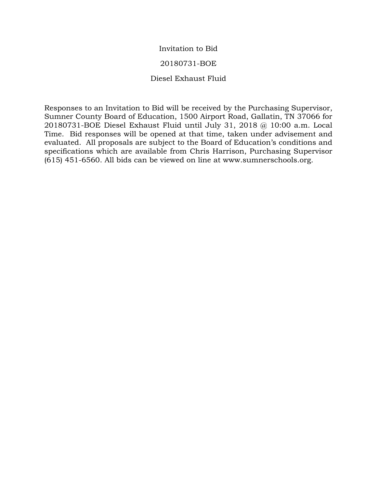#### Invitation to Bid

#### 20180731-BOE

#### Diesel Exhaust Fluid

Responses to an Invitation to Bid will be received by the Purchasing Supervisor, Sumner County Board of Education, 1500 Airport Road, Gallatin, TN 37066 for 20180731-BOE Diesel Exhaust Fluid until July 31, 2018 @ 10:00 a.m. Local Time. Bid responses will be opened at that time, taken under advisement and evaluated. All proposals are subject to the Board of Education's conditions and specifications which are available from Chris Harrison, Purchasing Supervisor (615) 451-6560. All bids can be viewed on line at www.sumnerschools.org.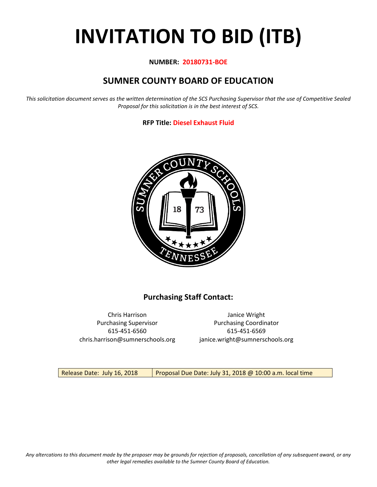# **INVITATION TO BID (ITB)**

#### **NUMBER: 20180731-BOE**

# **SUMNER COUNTY BOARD OF EDUCATION**

*This solicitation document serves as the written determination of the SCS Purchasing Supervisor that the use of Competitive Sealed Proposal for this solicitation is in the best interest of SCS.*

#### **RFP Title: Diesel Exhaust Fluid**



## **Purchasing Staff Contact:**

Chris Harrison Janice Wright 615-451-6560 615-451-6569 chris.harrison@sumnerschools.org janice.wright@sumnerschools.org

Purchasing Supervisor **Purchasing Coordinator** 

Release Date: July 16, 2018 Proposal Due Date: July 31, 2018 @ 10:00 a.m. local time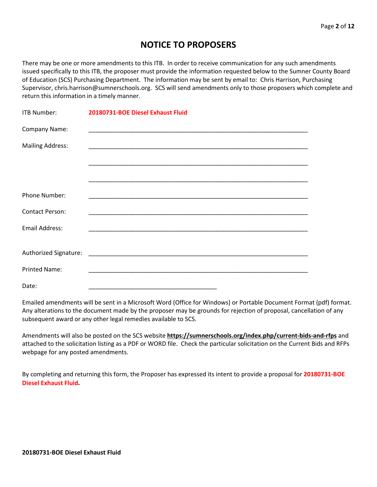# **NOTICE TO PROPOSERS**

There may be one or more amendments to this ITB. In order to receive communication for any such amendments issued specifically to this ITB, the proposer must provide the information requested below to the Sumner County Board of Education (SCS) Purchasing Department. The information may be sent by email to: Chris Harrison, Purchasing Supervisor, chris.harrison@sumnerschools.org. SCS will send amendments only to those proposers which complete and return this information in a timely manner.

| ITB Number:             | 20180731-BOE Diesel Exhaust Fluid |
|-------------------------|-----------------------------------|
| Company Name:           |                                   |
| <b>Mailing Address:</b> |                                   |
|                         |                                   |
|                         |                                   |
| Phone Number:           |                                   |
| <b>Contact Person:</b>  |                                   |
| <b>Email Address:</b>   |                                   |
|                         |                                   |
|                         |                                   |
| <b>Printed Name:</b>    |                                   |
| Date:                   |                                   |

Emailed amendments will be sent in a Microsoft Word (Office for Windows) or Portable Document Format (pdf) format. Any alterations to the document made by the proposer may be grounds for rejection of proposal, cancellation of any subsequent award or any other legal remedies available to SCS.

Amendments will also be posted on the SCS website **https://sumnerschools.org/index.php/current-bids-and-rfps** and attached to the solicitation listing as a PDF or WORD file. Check the particular solicitation on the Current Bids and RFPs webpage for any posted amendments.

By completing and returning this form, the Proposer has expressed its intent to provide a proposal for **20180731-BOE Diesel Exhaust Fluid.**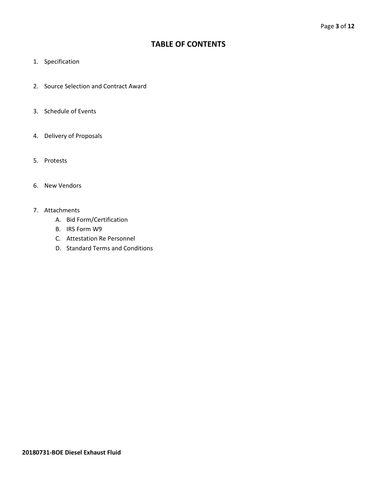## **TABLE OF CONTENTS**

- 1. Specification
- 2. Source Selection and Contract Award
- 3. Schedule of Events
- 4. Delivery of Proposals
- 5. Protests
- 6. New Vendors
- 7. Attachments
	- A. Bid Form/Certification
	- B. IRS Form W9
	- C. Attestation Re Personnel
	- D. Standard Terms and Conditions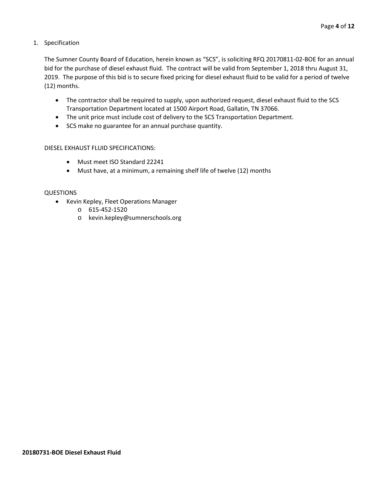1. Specification

The Sumner County Board of Education, herein known as "SCS", is soliciting RFQ 20170811-02-BOE for an annual bid for the purchase of diesel exhaust fluid. The contract will be valid from September 1, 2018 thru August 31, 2019. The purpose of this bid is to secure fixed pricing for diesel exhaust fluid to be valid for a period of twelve (12) months.

- The contractor shall be required to supply, upon authorized request, diesel exhaust fluid to the SCS Transportation Department located at 1500 Airport Road, Gallatin, TN 37066.
- The unit price must include cost of delivery to the SCS Transportation Department.
- SCS make no guarantee for an annual purchase quantity.

#### DIESEL EXHAUST FLUID SPECIFICATIONS:

- Must meet ISO Standard 22241
- Must have, at a minimum, a remaining shelf life of twelve (12) months

#### QUESTIONS

- Kevin Kepley, Fleet Operations Manager
	- o 615-452-1520
	- o kevin.kepley@sumnerschools.org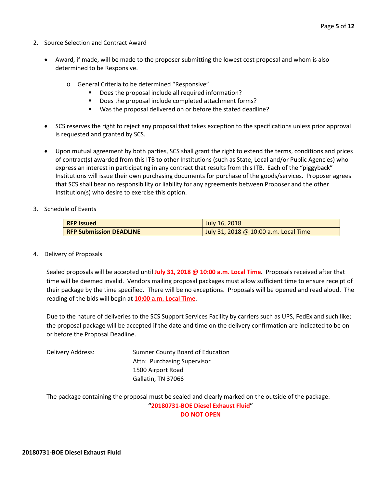- 2. Source Selection and Contract Award
	- Award, if made, will be made to the proposer submitting the lowest cost proposal and whom is also determined to be Responsive.
		- o General Criteria to be determined "Responsive"
			- Does the proposal include all required information?
			- Does the proposal include completed attachment forms?
			- Was the proposal delivered on or before the stated deadline?
	- SCS reserves the right to reject any proposal that takes exception to the specifications unless prior approval is requested and granted by SCS.
	- Upon mutual agreement by both parties, SCS shall grant the right to extend the terms, conditions and prices of contract(s) awarded from this ITB to other Institutions (such as State, Local and/or Public Agencies) who express an interest in participating in any contract that results from this ITB. Each of the "piggyback" Institutions will issue their own purchasing documents for purchase of the goods/services. Proposer agrees that SCS shall bear no responsibility or liability for any agreements between Proposer and the other Institution(s) who desire to exercise this option.
- 3. Schedule of Events

| <b>RFP Issued</b>              | July 16, 2018                         |  |  |  |  |  |  |
|--------------------------------|---------------------------------------|--|--|--|--|--|--|
| <b>RFP Submission DEADLINE</b> | July 31, 2018 @ 10:00 a.m. Local Time |  |  |  |  |  |  |

4. Delivery of Proposals

Sealed proposals will be accepted until **July 31, 2018 @ 10:00 a.m. Local Time**. Proposals received after that time will be deemed invalid. Vendors mailing proposal packages must allow sufficient time to ensure receipt of their package by the time specified. There will be no exceptions. Proposals will be opened and read aloud. The reading of the bids will begin at **10:00 a.m. Local Time**.

Due to the nature of deliveries to the SCS Support Services Facility by carriers such as UPS, FedEx and such like; the proposal package will be accepted if the date and time on the delivery confirmation are indicated to be on or before the Proposal Deadline.

Delivery Address: Sumner County Board of Education Attn: Purchasing Supervisor 1500 Airport Road Gallatin, TN 37066

The package containing the proposal must be sealed and clearly marked on the outside of the package: **"20180731-BOE Diesel Exhaust Fluid" DO NOT OPEN**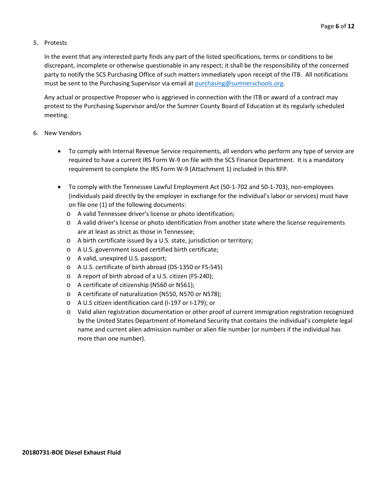#### 5. Protests

In the event that any interested party finds any part of the listed specifications, terms or conditions to be discrepant, incomplete or otherwise questionable in any respect; it shall be the responsibility of the concerned party to notify the SCS Purchasing Office of such matters immediately upon receipt of the ITB. All notifications must be sent to the Purchasing Supervisor via email at [purchasing@sumnerschools.org.](mailto:purchasing@sumnerschools.org)

Any actual or prospective Proposer who is aggrieved in connection with the ITB or award of a contract may protest to the Purchasing Supervisor and/or the Sumner County Board of Education at its regularly scheduled meeting.

#### 6. New Vendors

- To comply with Internal Revenue Service requirements, all vendors who perform any type of service are required to have a current IRS Form W-9 on file with the SCS Finance Department. It is a mandatory requirement to complete the IRS Form W-9 (Attachment 1) included in this RFP.
- To comply with the Tennessee Lawful Employment Act (50-1-702 and 50-1-703), non-employees (individuals paid directly by the employer in exchange for the individual's labor or services) must have on file one (1) of the following documents:
	- o A valid Tennessee driver's license or photo identification;
	- o A valid driver's license or photo identification from another state where the license requirements are at least as strict as those in Tennessee;
	- o A birth certificate issued by a U.S. state, jurisdiction or territory;
	- o A U.S. government issued certified birth certificate;
	- o A valid, unexpired U.S. passport;
	- o A U.S. certificate of birth abroad (DS-1350 or FS-545)
	- o A report of birth abroad of a U.S. citizen (FS-240);
	- o A certificate of citizenship (N560 or N561);
	- o A certificate of naturalization (N550, N570 or N578);
	- o A U.S citizen identification card (I-197 or I-179); or
	- o Valid alien registration documentation or other proof of current immigration registration recognized by the United States Department of Homeland Security that contains the individual's complete legal name and current alien admission number or alien file number (or numbers if the individual has more than one number).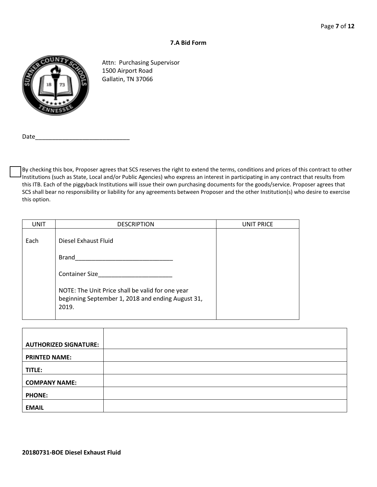#### **7.A Bid Form**



Attn: Purchasing Supervisor 1500 Airport Road Gallatin, TN 37066

Date

By checking this box, Proposer agrees that SCS reserves the right to extend the terms, conditions and prices of this contract to other Institutions (such as State, Local and/or Public Agencies) who express an interest in participating in any contract that results from this ITB. Each of the piggyback Institutions will issue their own purchasing documents for the goods/service. Proposer agrees that SCS shall bear no responsibility or liability for any agreements between Proposer and the other Institution(s) who desire to exercise this option.

| <b>UNIT</b> | <b>DESCRIPTION</b>                                                                                             | <b>UNIT PRICE</b> |
|-------------|----------------------------------------------------------------------------------------------------------------|-------------------|
| Each        | Diesel Exhaust Fluid                                                                                           |                   |
|             | Brand                                                                                                          |                   |
|             | <b>Container Size</b>                                                                                          |                   |
|             | NOTE: The Unit Price shall be valid for one year<br>beginning September 1, 2018 and ending August 31,<br>2019. |                   |

| <b>AUTHORIZED SIGNATURE:</b> |  |
|------------------------------|--|
| <b>PRINTED NAME:</b>         |  |
| TITLE:                       |  |
| <b>COMPANY NAME:</b>         |  |
| <b>PHONE:</b>                |  |
| <b>EMAIL</b>                 |  |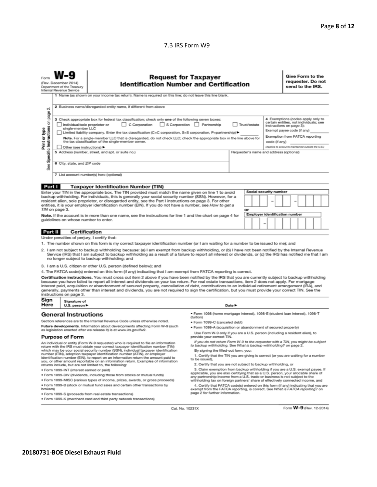#### 7.B IRS Form W9

|                                                                                                                                                                                                                                                                                                                                                                                                                                                                                                                                                                                                                                                                                                                                                                                                                                                                                                                                                                                                                                                                                                                                                                                                                                                                                                                                                                                                               | <b>Request for Taxpayer</b><br>(Rev. December 2014)<br><b>Identification Number and Certification</b><br>Department of the Treasury<br>Internal Revenue Service<br>1 Name (as shown on your income tax return). Name is required on this line; do not leave this line blank. |                                                                                                                                                                                                                                                                                                                                                                                                                                                                                                                                                                                                                                                                                                                                                                                                                                                                                                                                                                                                                                                                                                                                                                                                  |                                                                                                                                                                                                                                                                                                                                                                                                                                                                                                                     |  |  |  |  | Give Form to the<br>requester. Do not<br>send to the IRS. |  |  |  |  |  |
|---------------------------------------------------------------------------------------------------------------------------------------------------------------------------------------------------------------------------------------------------------------------------------------------------------------------------------------------------------------------------------------------------------------------------------------------------------------------------------------------------------------------------------------------------------------------------------------------------------------------------------------------------------------------------------------------------------------------------------------------------------------------------------------------------------------------------------------------------------------------------------------------------------------------------------------------------------------------------------------------------------------------------------------------------------------------------------------------------------------------------------------------------------------------------------------------------------------------------------------------------------------------------------------------------------------------------------------------------------------------------------------------------------------|------------------------------------------------------------------------------------------------------------------------------------------------------------------------------------------------------------------------------------------------------------------------------|--------------------------------------------------------------------------------------------------------------------------------------------------------------------------------------------------------------------------------------------------------------------------------------------------------------------------------------------------------------------------------------------------------------------------------------------------------------------------------------------------------------------------------------------------------------------------------------------------------------------------------------------------------------------------------------------------------------------------------------------------------------------------------------------------------------------------------------------------------------------------------------------------------------------------------------------------------------------------------------------------------------------------------------------------------------------------------------------------------------------------------------------------------------------------------------------------|---------------------------------------------------------------------------------------------------------------------------------------------------------------------------------------------------------------------------------------------------------------------------------------------------------------------------------------------------------------------------------------------------------------------------------------------------------------------------------------------------------------------|--|--|--|--|-----------------------------------------------------------|--|--|--|--|--|
| 2 Business name/disregarded entity name, if different from above<br>σû<br>page<br>4 Exemptions (codes apply only to<br>3 Check appropriate box for federal tax classification; check only one of the following seven boxes:<br>Specific Instructions on<br>certain entities, not individuals; see<br>C Corporation<br>S Corporation Partnership<br>Individual/sole proprietor or<br>Trust/estate<br>instructions on page 3):<br>single-member LLC<br>Print or type<br>Exempt payee code (if any)<br>Limited liability company. Enter the tax classification (C=C corporation, S=S corporation, P=partnership) ▶<br>Exemption from FATCA reporting<br>Note. For a single-member LLC that is disregarded, do not check LLC; check the appropriate box in the line above for<br>the tax classification of the single-member owner.<br>code (if anv)<br>(Applies to accounts maintained outside the U.S.)<br>Other (see instructions)<br>5 Address (number, street, and apt. or suite no.)<br>Requester's name and address (optional)<br>6 City, state, and ZIP code<br>See<br>7 List account number(s) here (optional)                                                                                                                                                                                                                                                                                           |                                                                                                                                                                                                                                                                              |                                                                                                                                                                                                                                                                                                                                                                                                                                                                                                                                                                                                                                                                                                                                                                                                                                                                                                                                                                                                                                                                                                                                                                                                  |                                                                                                                                                                                                                                                                                                                                                                                                                                                                                                                     |  |  |  |  |                                                           |  |  |  |  |  |
| Part I                                                                                                                                                                                                                                                                                                                                                                                                                                                                                                                                                                                                                                                                                                                                                                                                                                                                                                                                                                                                                                                                                                                                                                                                                                                                                                                                                                                                        |                                                                                                                                                                                                                                                                              | <b>Taxpayer Identification Number (TIN)</b>                                                                                                                                                                                                                                                                                                                                                                                                                                                                                                                                                                                                                                                                                                                                                                                                                                                                                                                                                                                                                                                                                                                                                      |                                                                                                                                                                                                                                                                                                                                                                                                                                                                                                                     |  |  |  |  |                                                           |  |  |  |  |  |
|                                                                                                                                                                                                                                                                                                                                                                                                                                                                                                                                                                                                                                                                                                                                                                                                                                                                                                                                                                                                                                                                                                                                                                                                                                                                                                                                                                                                               | TIN on page 3.<br>guidelines on whose number to enter.                                                                                                                                                                                                                       | resident alien, sole proprietor, or disregarded entity, see the Part I instructions on page 3. For other                                                                                                                                                                                                                                                                                                                                                                                                                                                                                                                                                                                                                                                                                                                                                                                                                                                                                                                                                                                                                                                                                         | Social security number<br>Enter your TIN in the appropriate box. The TIN provided must match the name given on line 1 to avoid<br>backup withholding. For individuals, this is generally your social security number (SSN). However, for a<br>entities, it is your employer identification number (EIN). If you do not have a number, see How to get a<br>or<br><b>Employer identification number</b><br>Note. If the account is in more than one name, see the instructions for line 1 and the chart on page 4 for |  |  |  |  |                                                           |  |  |  |  |  |
| Part II                                                                                                                                                                                                                                                                                                                                                                                                                                                                                                                                                                                                                                                                                                                                                                                                                                                                                                                                                                                                                                                                                                                                                                                                                                                                                                                                                                                                       | <b>Certification</b>                                                                                                                                                                                                                                                         |                                                                                                                                                                                                                                                                                                                                                                                                                                                                                                                                                                                                                                                                                                                                                                                                                                                                                                                                                                                                                                                                                                                                                                                                  |                                                                                                                                                                                                                                                                                                                                                                                                                                                                                                                     |  |  |  |  |                                                           |  |  |  |  |  |
| Under penalties of perjury, I certify that:<br>1. The number shown on this form is my correct taxpayer identification number (or I am waiting for a number to be issued to me); and<br>2. I am not subject to backup withholding because: (a) I am exempt from backup withholding, or (b) I have not been notified by the Internal Revenue<br>Service (IRS) that I am subject to backup withholding as a result of a failure to report all interest or dividends, or (c) the IRS has notified me that I am<br>no longer subject to backup withholding; and<br>3. I am a U.S. citizen or other U.S. person (defined below); and<br>4. The FATCA code(s) entered on this form (if any) indicating that I am exempt from FATCA reporting is correct.<br>Certification instructions. You must cross out item 2 above if you have been notified by the IRS that you are currently subject to backup withholding<br>because you have failed to report all interest and dividends on your tax return. For real estate transactions, item 2 does not apply. For mortgage<br>interest paid, acquisition or abandonment of secured property, cancellation of debt, contributions to an individual retirement arrangement (IRA), and<br>generally, payments other than interest and dividends, you are not required to sign the certification, but you must provide your correct TIN. See the<br>instructions on page 3. |                                                                                                                                                                                                                                                                              |                                                                                                                                                                                                                                                                                                                                                                                                                                                                                                                                                                                                                                                                                                                                                                                                                                                                                                                                                                                                                                                                                                                                                                                                  |                                                                                                                                                                                                                                                                                                                                                                                                                                                                                                                     |  |  |  |  |                                                           |  |  |  |  |  |
|                                                                                                                                                                                                                                                                                                                                                                                                                                                                                                                                                                                                                                                                                                                                                                                                                                                                                                                                                                                                                                                                                                                                                                                                                                                                                                                                                                                                               | Sign<br>Signature of<br>Here<br>Date $\blacktriangleright$<br>U.S. person $\blacktriangleright$                                                                                                                                                                              |                                                                                                                                                                                                                                                                                                                                                                                                                                                                                                                                                                                                                                                                                                                                                                                                                                                                                                                                                                                                                                                                                                                                                                                                  |                                                                                                                                                                                                                                                                                                                                                                                                                                                                                                                     |  |  |  |  |                                                           |  |  |  |  |  |
| <b>General Instructions</b><br>Section references are to the Internal Revenue Code unless otherwise noted.<br>Future developments. Information about developments affecting Form W-9 (such<br>as legislation enacted after we release it) is at www.irs.gov/fw9.<br><b>Purpose of Form</b><br>An individual or entity (Form W-9 requester) who is required to file an information<br>return with the IRS must obtain your correct taxpayer identification number (TIN)<br>which may be your social security number (SSN), individual taxpayer identification<br>number (ITIN), adoption taxpayer identification number (ATIN), or employer<br>identification number (EIN), to report on an information return the amount paid to<br>you, or other amount reportable on an information return. Examples of information<br>returns include, but are not limited to, the following:<br>· Form 1099-INT (interest earned or paid)<br>. Form 1099-DIV (dividends, including those from stocks or mutual funds)<br>. Form 1099-MISC (various types of income, prizes, awards, or gross proceeds)<br>. Form 1099-B (stock or mutual fund sales and certain other transactions by<br>brokers)                                                                                                                                                                                                                         |                                                                                                                                                                                                                                                                              | · Form 1098 (home mortgage interest), 1098-E (student loan interest), 1098-T<br>(tuition)<br>· Form 1099-C (canceled debt)<br>· Form 1099-A (acquisition or abandonment of secured property)<br>Use Form W-9 only if you are a U.S. person (including a resident alien), to<br>provide your correct TIN.<br>If you do not return Form W-9 to the requester with a TIN, you might be subject<br>to backup withholding. See What is backup withholding? on page 2.<br>By signing the filled-out form, you:<br>1. Certify that the TIN you are giving is correct (or you are waiting for a number<br>to be issued).<br>2. Certify that you are not subject to backup withholding, or<br>3. Claim exemption from backup withholding if you are a U.S. exempt payee. If<br>applicable, you are also certifying that as a U.S. person, your allocable share of<br>any partnership income from a U.S. trade or business is not subject to the<br>withholding tax on foreign partners' share of effectively connected income, and<br>4. Certify that FATCA code(s) entered on this form (if any) indicating that you are<br>exempt from the FATCA reporting, is correct. See What is FATCA reporting? on |                                                                                                                                                                                                                                                                                                                                                                                                                                                                                                                     |  |  |  |  |                                                           |  |  |  |  |  |
| page 2 for further information.<br>· Form 1099-S (proceeds from real estate transactions)<br>. Form 1099-K (merchant card and third party network transactions)                                                                                                                                                                                                                                                                                                                                                                                                                                                                                                                                                                                                                                                                                                                                                                                                                                                                                                                                                                                                                                                                                                                                                                                                                                               |                                                                                                                                                                                                                                                                              |                                                                                                                                                                                                                                                                                                                                                                                                                                                                                                                                                                                                                                                                                                                                                                                                                                                                                                                                                                                                                                                                                                                                                                                                  |                                                                                                                                                                                                                                                                                                                                                                                                                                                                                                                     |  |  |  |  |                                                           |  |  |  |  |  |

Cat. No. 10231X

Form W-9 (Rev. 12-2014)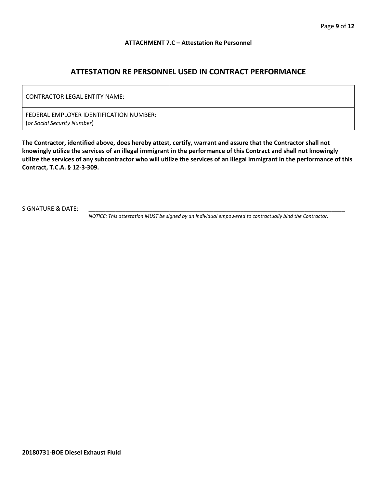#### **ATTACHMENT 7.C – Attestation Re Personnel**

## **ATTESTATION RE PERSONNEL USED IN CONTRACT PERFORMANCE**

| CONTRACTOR LEGAL ENTITY NAME:                                          |  |
|------------------------------------------------------------------------|--|
| FEDERAL EMPLOYER IDENTIFICATION NUMBER:<br>(or Social Security Number) |  |

**The Contractor, identified above, does hereby attest, certify, warrant and assure that the Contractor shall not knowingly utilize the services of an illegal immigrant in the performance of this Contract and shall not knowingly utilize the services of any subcontractor who will utilize the services of an illegal immigrant in the performance of this Contract, T.C.A. § 12-3-309.**

SIGNATURE & DATE:

*NOTICE: This attestation MUST be signed by an individual empowered to contractually bind the Contractor.*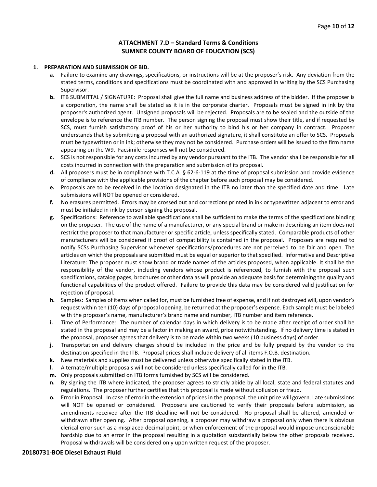#### **ATTACHMENT 7.D – Standard Terms & Conditions SUMNER COUNTY BOARD OF EDUCATION (SCS)**

#### **1. PREPARATION AND SUBMISSION OF BID.**

- **a.** Failure to examine any drawings**,** specifications, or instructions will be at the proposer's risk. Any deviation from the stated terms, conditions and specifications must be coordinated with and approved in writing by the SCS Purchasing Supervisor.
- **b.** ITB SUBMITTAL / SIGNATURE: Proposal shall give the full name and business address of the bidder. If the proposer is a corporation, the name shall be stated as it is in the corporate charter. Proposals must be signed in ink by the proposer's authorized agent. Unsigned proposals will be rejected. Proposals are to be sealed and the outside of the envelope is to reference the ITB number. The person signing the proposal must show their title, and if requested by SCS, must furnish satisfactory proof of his or her authority to bind his or her company in contract. Proposer understands that by submitting a proposal with an authorized signature, it shall constitute an offer to SCS. Proposals must be typewritten or in ink; otherwise they may not be considered. Purchase orders will be issued to the firm name appearing on the W9. Facsimile responses will not be considered.
- **c.** SCS is not responsible for any costs incurred by any vendor pursuant to the ITB. The vendor shall be responsible for all costs incurred in connection with the preparation and submission of its proposal.
- **d.** All proposers must be in compliance with T.C.A. § 62-6-119 at the time of proposal submission and provide evidence of compliance with the applicable provisions of the chapter before such proposal may be considered.
- **e.** Proposals are to be received in the location designated in the ITB no later than the specified date and time. Late submissions will NOT be opened or considered.
- **f.** No erasures permitted. Errors may be crossed out and corrections printed in ink or typewritten adjacent to error and must be initialed in ink by person signing the proposal.
- **g.** Specifications: Reference to available specifications shall be sufficient to make the terms of the specifications binding on the proposer. The use of the name of a manufacturer, or any special brand or make in describing an item does not restrict the proposer to that manufacturer or specific article, unless specifically stated. Comparable products of other manufacturers will be considered if proof of compatibility is contained in the proposal. Proposers are required to notify SCSs Purchasing Supervisor whenever specifications/procedures are not perceived to be fair and open. The articles on which the proposals are submitted must be equal or superior to that specified. Informative and Descriptive Literature: The proposer must show brand or trade names of the articles proposed, when applicable. It shall be the responsibility of the vendor, including vendors whose product is referenced, to furnish with the proposal such specifications, catalog pages, brochures or other data as will provide an adequate basis for determining the quality and functional capabilities of the product offered. Failure to provide this data may be considered valid justification for rejection of proposal.
- **h.** Samples: Samples of items when called for, must be furnished free of expense, and if not destroyed will, upon vendor's request within ten (10) days of proposal opening, be returned at the proposer's expense. Each sample must be labeled with the proposer's name, manufacturer's brand name and number, ITB number and item reference.
- **i.** Time of Performance: The number of calendar days in which delivery is to be made after receipt of order shall be stated in the proposal and may be a factor in making an award, price notwithstanding. If no delivery time is stated in the proposal, proposer agrees that delivery is to be made within two weeks (10 business days) of order.
- **j.** Transportation and delivery charges should be included in the price and be fully prepaid by the vendor to the destination specified in the ITB. Proposal prices shall include delivery of all items F.O.B. destination.
- **k.** New materials and supplies must be delivered unless otherwise specifically stated in the ITB.
- **l.** Alternate/multiple proposals will not be considered unless specifically called for in the ITB.
- **m.** Only proposals submitted on ITB forms furnished by SCS will be considered.
- **n.** By signing the ITB where indicated, the proposer agrees to strictly abide by all local, state and federal statutes and regulations. The proposer further certifies that this proposal is made without collusion or fraud.
- **o.** Error in Proposal. In case of error in the extension of prices in the proposal, the unit price will govern. Late submissions will NOT be opened or considered. Proposers are cautioned to verify their proposals before submission, as amendments received after the ITB deadline will not be considered. No proposal shall be altered, amended or withdrawn after opening. After proposal opening, a proposer may withdraw a proposal only when there is obvious clerical error such as a misplaced decimal point, or when enforcement of the proposal would impose unconscionable hardship due to an error in the proposal resulting in a quotation substantially below the other proposals received. Proposal withdrawals will be considered only upon written request of the proposer.

#### **20180731-BOE Diesel Exhaust Fluid**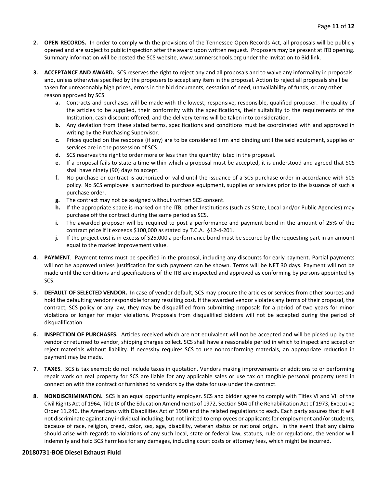- **2. OPEN RECORDS.** In order to comply with the provisions of the Tennessee Open Records Act, all proposals will be publicly opened and are subject to public inspection after the award upon written request. Proposers may be present at ITB opening. Summary information will be posted the SCS website, www.sumnerschools.org under the Invitation to Bid link.
- **3. ACCEPTANCE AND AWARD.** SCS reserves the right to reject any and all proposals and to waive any informality in proposals and, unless otherwise specified by the proposers to accept any item in the proposal. Action to reject all proposals shall be taken for unreasonably high prices, errors in the bid documents, cessation of need, unavailability of funds, or any other reason approved by SCS.
	- **a.** Contracts and purchases will be made with the lowest, responsive, responsible, qualified proposer. The quality of the articles to be supplied, their conformity with the specifications, their suitability to the requirements of the Institution, cash discount offered, and the delivery terms will be taken into consideration.
	- **b.** Any deviation from these stated terms, specifications and conditions must be coordinated with and approved in writing by the Purchasing Supervisor.
	- **c.** Prices quoted on the response (if any) are to be considered firm and binding until the said equipment, supplies or services are in the possession of SCS.
	- **d.** SCS reserves the right to order more or less than the quantity listed in the proposal.
	- **e.** If a proposal fails to state a time within which a proposal must be accepted, it is understood and agreed that SCS shall have ninety (90) days to accept.
	- **f.** No purchase or contract is authorized or valid until the issuance of a SCS purchase order in accordance with SCS policy. No SCS employee is authorized to purchase equipment, supplies or services prior to the issuance of such a purchase order.
	- **g.** The contract may not be assigned without written SCS consent.
	- **h.** If the appropriate space is marked on the ITB, other Institutions (such as State, Local and/or Public Agencies) may purchase off the contract during the same period as SCS.
	- **i.** The awarded proposer will be required to post a performance and payment bond in the amount of 25% of the contract price if it exceeds \$100,000 as stated by T.C.A. §12-4-201.
	- **j.** If the project cost is in excess of \$25,000 a performance bond must be secured by the requesting part in an amount equal to the market improvement value.
- **4. PAYMENT**. Payment terms must be specified in the proposal, including any discounts for early payment. Partial payments will not be approved unless justification for such payment can be shown. Terms will be NET 30 days. Payment will not be made until the conditions and specifications of the ITB are inspected and approved as conforming by persons appointed by SCS.
- **5. DEFAULT OF SELECTED VENDOR.** In case of vendor default, SCS may procure the articles or services from other sources and hold the defaulting vendor responsible for any resulting cost. If the awarded vendor violates any terms of their proposal, the contract, SCS policy or any law, they may be disqualified from submitting proposals for a period of two years for minor violations or longer for major violations. Proposals from disqualified bidders will not be accepted during the period of disqualification.
- **6. INSPECTION OF PURCHASES.** Articles received which are not equivalent will not be accepted and will be picked up by the vendor or returned to vendor, shipping charges collect. SCS shall have a reasonable period in which to inspect and accept or reject materials without liability. If necessity requires SCS to use nonconforming materials, an appropriate reduction in payment may be made.
- **7. TAXES.** SCS is tax exempt; do not include taxes in quotation. Vendors making improvements or additions to or performing repair work on real property for SCS are liable for any applicable sales or use tax on tangible personal property used in connection with the contract or furnished to vendors by the state for use under the contract.
- **8. NONDISCRIMINATION.** SCS is an equal opportunity employer. SCS and bidder agree to comply with Titles VI and VII of the Civil Rights Act of 1964, Title IX of the Education Amendments of 1972, Section 504 of the Rehabilitation Act of 1973, Executive Order 11,246, the Americans with Disabilities Act of 1990 and the related regulations to each. Each party assures that it will not discriminate against any individual including, but not limited to employees or applicants for employment and/or students, because of race, religion, creed, color, sex, age, disability, veteran status or national origin. In the event that any claims should arise with regards to violations of any such local, state or federal law, statues, rule or regulations, the vendor will indemnify and hold SCS harmless for any damages, including court costs or attorney fees, which might be incurred.

#### **20180731-BOE Diesel Exhaust Fluid**